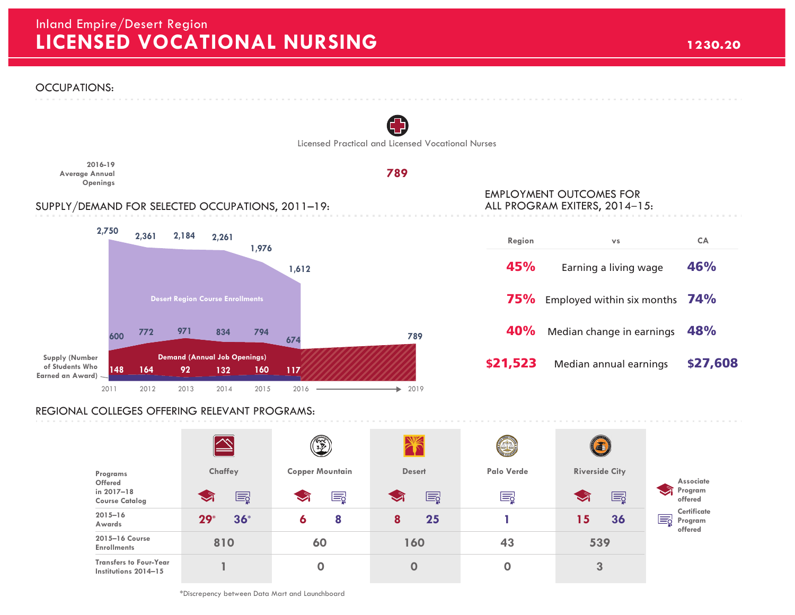## **LICENSED VOCATIONAL NURSING 1230.20** Inland Empire/Desert Region



## REGIONAL COLLEGES OFFERING RELEVANT PROGRAMS:

|                                                       | $\rightsquigarrow$ | $\mathcal{F}$ )        |               |             | (3)                        |                                               |
|-------------------------------------------------------|--------------------|------------------------|---------------|-------------|----------------------------|-----------------------------------------------|
| Programs                                              | Chaffey            | <b>Copper Mountain</b> | <b>Desert</b> | Palo Verde  | <b>Riverside City</b>      | Associate                                     |
| Offered<br>in 2017-18<br><b>Course Catalog</b>        | E                  | Ę                      | E             | Eğ          | E<br>$\blacktriangleright$ | $\sim$<br>Program<br>offered                  |
| $2015 - 16$<br>Awards                                 | $36*$<br>$29*$     | 8<br>6                 | 25<br>8       |             | 36<br>15                   | <b>Certificate</b><br>E<br>Program<br>offered |
| 2015-16 Course<br><b>Enrollments</b>                  | 810                | 60                     | 160           | 43          | 539                        |                                               |
| <b>Transfers to Four-Year</b><br>Institutions 2014-15 |                    |                        | $\mathbf 0$   | $\mathbf 0$ | 3                          |                                               |